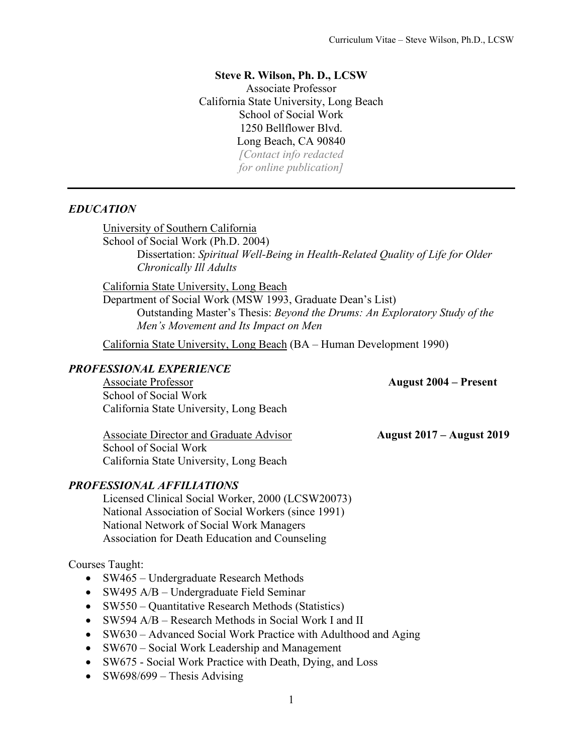### **Steve R. Wilson, Ph. D., LCSW**

Associate Professor California State University, Long Beach School of Social Work 1250 Bellflower Blvd. Long Beach, CA 90840 *[Contact info redacted*

*for online publication]*

## *EDUCATION*

University of Southern California

School of Social Work (Ph.D. 2004) Dissertation: *Spiritual Well-Being in Health-Related Quality of Life for Older Chronically Ill Adults*

California State University, Long Beach

Department of Social Work (MSW 1993, Graduate Dean's List) Outstanding Master's Thesis: *Beyond the Drums: An Exploratory Study of the Men's Movement and Its Impact on Men*

California State University, Long Beach (BA – Human Development 1990)

## *PROFESSIONAL EXPERIENCE*

Associate Professor **August 2004 – Present** School of Social Work California State University, Long Beach

Associate Director and Graduate Advisor **August 2017 – August 2019** 

School of Social Work California State University, Long Beach

## *PROFESSIONAL AFFILIATIONS*

Licensed Clinical Social Worker, 2000 (LCSW20073) National Association of Social Workers (since 1991) National Network of Social Work Managers Association for Death Education and Counseling

## Courses Taught:

- SW465 Undergraduate Research Methods
- SW495 A/B Undergraduate Field Seminar
- SW550 Quantitative Research Methods (Statistics)
- SW594 A/B Research Methods in Social Work I and II
- SW630 Advanced Social Work Practice with Adulthood and Aging
- SW670 Social Work Leadership and Management
- SW675 Social Work Practice with Death, Dying, and Loss
- SW698/699 Thesis Advising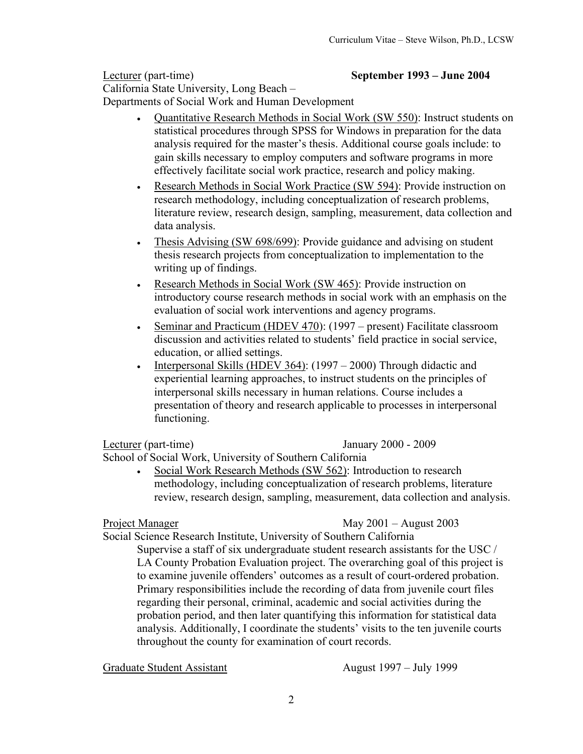Lecturer (part-time) **September 1993 – June 2004** California State University, Long Beach – Departments of Social Work and Human Development

- Quantitative Research Methods in Social Work (SW 550): Instruct students on statistical procedures through SPSS for Windows in preparation for the data analysis required for the master's thesis. Additional course goals include: to gain skills necessary to employ computers and software programs in more effectively facilitate social work practice, research and policy making.
- Research Methods in Social Work Practice (SW 594): Provide instruction on research methodology, including conceptualization of research problems, literature review, research design, sampling, measurement, data collection and data analysis.
- Thesis Advising (SW 698/699): Provide guidance and advising on student thesis research projects from conceptualization to implementation to the writing up of findings.
- Research Methods in Social Work (SW 465): Provide instruction on introductory course research methods in social work with an emphasis on the evaluation of social work interventions and agency programs.
- Seminar and Practicum (HDEV 470): (1997 present) Facilitate classroom discussion and activities related to students' field practice in social service, education, or allied settings.
- Interpersonal Skills (HDEV 364): (1997 2000) Through didactic and experiential learning approaches, to instruct students on the principles of interpersonal skills necessary in human relations. Course includes a presentation of theory and research applicable to processes in interpersonal functioning.

Lecturer (part-time) January 2000 - 2009

School of Social Work, University of Southern California

• Social Work Research Methods (SW 562): Introduction to research methodology, including conceptualization of research problems, literature review, research design, sampling, measurement, data collection and analysis.

Project Manager May 2001 – August 2003

Social Science Research Institute, University of Southern California Supervise a staff of six undergraduate student research assistants for the USC / LA County Probation Evaluation project. The overarching goal of this project is to examine juvenile offenders' outcomes as a result of court-ordered probation. Primary responsibilities include the recording of data from juvenile court files

regarding their personal, criminal, academic and social activities during the probation period, and then later quantifying this information for statistical data analysis. Additionally, I coordinate the students' visits to the ten juvenile courts throughout the county for examination of court records.

Graduate Student Assistant August 1997 – July 1999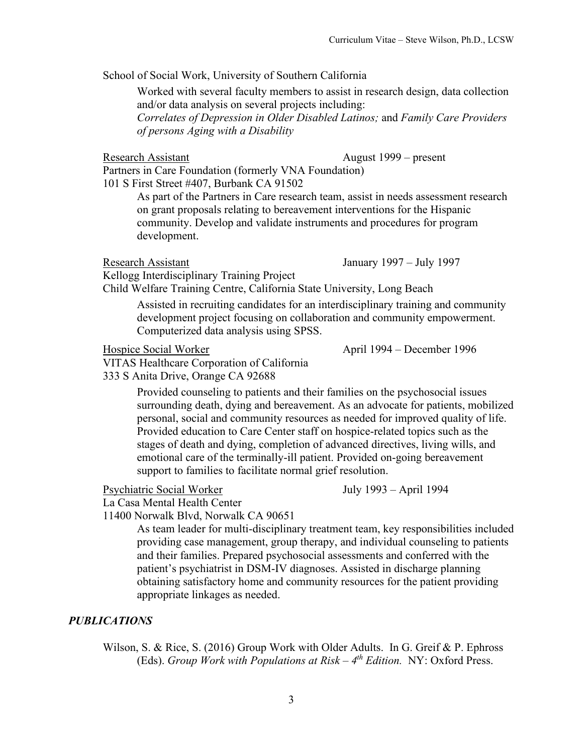School of Social Work, University of Southern California

Worked with several faculty members to assist in research design, data collection and/or data analysis on several projects including:

*Correlates of Depression in Older Disabled Latinos;* and *Family Care Providers of persons Aging with a Disability*

Research Assistant August 1999 – present

Partners in Care Foundation (formerly VNA Foundation)

101 S First Street #407, Burbank CA 91502

As part of the Partners in Care research team, assist in needs assessment research on grant proposals relating to bereavement interventions for the Hispanic community. Develop and validate instruments and procedures for program development.

Research Assistant January 1997 – July 1997

Kellogg Interdisciplinary Training Project

Child Welfare Training Centre, California State University, Long Beach

Assisted in recruiting candidates for an interdisciplinary training and community development project focusing on collaboration and community empowerment. Computerized data analysis using SPSS.

Hospice Social Worker April 1994 – December 1996

VITAS Healthcare Corporation of California

333 S Anita Drive, Orange CA 92688

Provided counseling to patients and their families on the psychosocial issues surrounding death, dying and bereavement. As an advocate for patients, mobilized personal, social and community resources as needed for improved quality of life. Provided education to Care Center staff on hospice-related topics such as the stages of death and dying, completion of advanced directives, living wills, and emotional care of the terminally-ill patient. Provided on-going bereavement support to families to facilitate normal grief resolution.

Psychiatric Social Worker July 1993 – April 1994

La Casa Mental Health Center

11400 Norwalk Blvd, Norwalk CA 90651

As team leader for multi-disciplinary treatment team, key responsibilities included providing case management, group therapy, and individual counseling to patients and their families. Prepared psychosocial assessments and conferred with the patient's psychiatrist in DSM-IV diagnoses. Assisted in discharge planning obtaining satisfactory home and community resources for the patient providing appropriate linkages as needed.

## *PUBLICATIONS*

Wilson, S. & Rice, S. (2016) Group Work with Older Adults. In G. Greif & P. Ephross (Eds). *Group Work with Populations at Risk – 4th Edition.* NY: Oxford Press.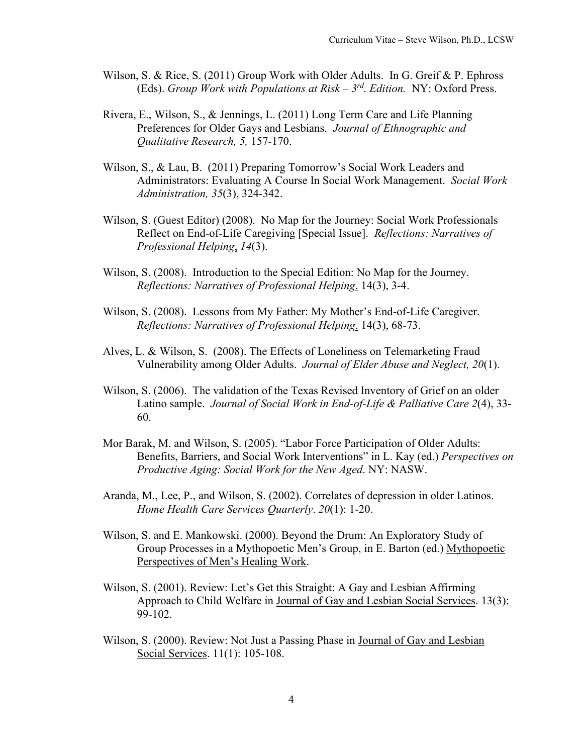- Wilson, S. & Rice, S. (2011) Group Work with Older Adults. In G. Greif & P. Ephross (Eds). *Group Work with Populations at Risk – 3rd. Edition.* NY: Oxford Press.
- Rivera, E., Wilson, S., & Jennings, L. (2011) Long Term Care and Life Planning Preferences for Older Gays and Lesbians. *Journal of Ethnographic and Qualitative Research, 5,* 157-170.
- Wilson, S., & Lau, B. (2011) Preparing Tomorrow's Social Work Leaders and Administrators: Evaluating A Course In Social Work Management. *Social Work Administration, 35*(3), 324-342.
- Wilson, S. (Guest Editor) (2008). No Map for the Journey: Social Work Professionals Reflect on End-of-Life Caregiving [Special Issue]. *Reflections: Narratives of Professional Helping*, *14*(3).
- Wilson, S. (2008). Introduction to the Special Edition: No Map for the Journey. *Reflections: Narratives of Professional Helping*. 14(3), 3-4.
- Wilson, S. (2008). Lessons from My Father: My Mother's End-of-Life Caregiver. *Reflections: Narratives of Professional Helping*. 14(3), 68-73.
- Alves, L. & Wilson, S. (2008). The Effects of Loneliness on Telemarketing Fraud Vulnerability among Older Adults. *Journal of Elder Abuse and Neglect, 20*(1).
- Wilson, S. (2006). The validation of the Texas Revised Inventory of Grief on an older Latino sample. *Journal of Social Work in End-of-Life & Palliative Care 2*(4), 33- 60.
- Mor Barak, M. and Wilson, S. (2005). "Labor Force Participation of Older Adults: Benefits, Barriers, and Social Work Interventions" in L. Kay (ed.) *Perspectives on Productive Aging: Social Work for the New Aged*. NY: NASW.
- Aranda, M., Lee, P., and Wilson, S. (2002). Correlates of depression in older Latinos. *Home Health Care Services Quarterly*. *20*(1): 1-20.
- Wilson, S. and E. Mankowski. (2000). Beyond the Drum: An Exploratory Study of Group Processes in a Mythopoetic Men's Group, in E. Barton (ed.) Mythopoetic Perspectives of Men's Healing Work.
- Wilson, S. (2001). Review: Let's Get this Straight: A Gay and Lesbian Affirming Approach to Child Welfare in Journal of Gay and Lesbian Social Services. 13(3): 99-102.
- Wilson, S. (2000). Review: Not Just a Passing Phase in Journal of Gay and Lesbian Social Services. 11(1): 105-108.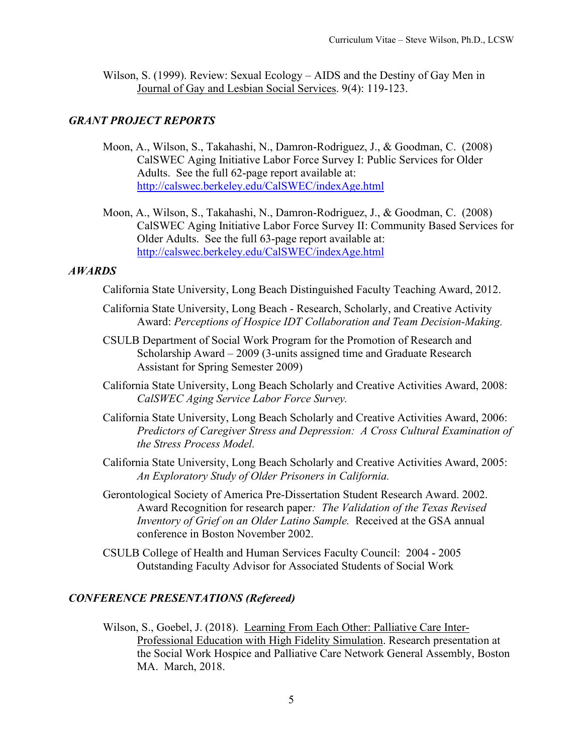Wilson, S. (1999). Review: Sexual Ecology – AIDS and the Destiny of Gay Men in Journal of Gay and Lesbian Social Services. 9(4): 119-123.

## *GRANT PROJECT REPORTS*

- Moon, A., Wilson, S., Takahashi, N., Damron-Rodriguez, J., & Goodman, C. (2008) CalSWEC Aging Initiative Labor Force Survey I: Public Services for Older Adults. See the full 62-page report available at: <http://calswec.berkeley.edu/CalSWEC/indexAge.html>
- Moon, A., Wilson, S., Takahashi, N., Damron-Rodriguez, J., & Goodman, C. (2008) CalSWEC Aging Initiative Labor Force Survey II: Community Based Services for Older Adults. See the full 63-page report available at: <http://calswec.berkeley.edu/CalSWEC/indexAge.html>

## *AWARDS*

California State University, Long Beach Distinguished Faculty Teaching Award, 2012.

- California State University, Long Beach Research, Scholarly, and Creative Activity Award: *Perceptions of Hospice IDT Collaboration and Team Decision-Making.*
- CSULB Department of Social Work Program for the Promotion of Research and Scholarship Award – 2009 (3-units assigned time and Graduate Research Assistant for Spring Semester 2009)
- California State University, Long Beach Scholarly and Creative Activities Award, 2008: *CalSWEC Aging Service Labor Force Survey.*
- California State University, Long Beach Scholarly and Creative Activities Award, 2006: *Predictors of Caregiver Stress and Depression: A Cross Cultural Examination of the Stress Process Model.*
- California State University, Long Beach Scholarly and Creative Activities Award, 2005: *An Exploratory Study of Older Prisoners in California.*
- Gerontological Society of America Pre-Dissertation Student Research Award. 2002. Award Recognition for research paper*: The Validation of the Texas Revised Inventory of Grief on an Older Latino Sample.* Received at the GSA annual conference in Boston November 2002.
- CSULB College of Health and Human Services Faculty Council: 2004 2005 Outstanding Faculty Advisor for Associated Students of Social Work

## *CONFERENCE PRESENTATIONS (Refereed)*

Wilson, S., Goebel, J. (2018). Learning From Each Other: Palliative Care Inter-Professional Education with High Fidelity Simulation. Research presentation at the Social Work Hospice and Palliative Care Network General Assembly, Boston MA. March, 2018.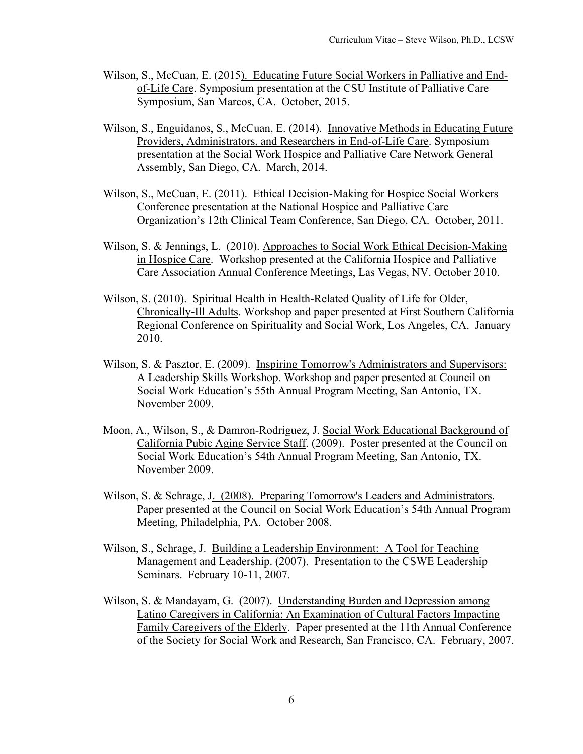- Wilson, S., McCuan, E. (2015). Educating Future Social Workers in Palliative and Endof-Life Care. Symposium presentation at the CSU Institute of Palliative Care Symposium, San Marcos, CA. October, 2015.
- Wilson, S., Enguidanos, S., McCuan, E. (2014). Innovative Methods in Educating Future Providers, Administrators, and Researchers in End-of-Life Care. Symposium presentation at the Social Work Hospice and Palliative Care Network General Assembly, San Diego, CA. March, 2014.
- Wilson, S., McCuan, E. (2011). Ethical Decision-Making for Hospice Social Workers Conference presentation at the National Hospice and Palliative Care Organization's 12th Clinical Team Conference, San Diego, CA. October, 2011.
- Wilson, S. & Jennings, L. (2010). Approaches to Social Work Ethical Decision-Making in Hospice Care. Workshop presented at the California Hospice and Palliative Care Association Annual Conference Meetings, Las Vegas, NV. October 2010.
- Wilson, S. (2010). Spiritual Health in Health-Related Quality of Life for Older, Chronically-Ill Adults. Workshop and paper presented at First Southern California Regional Conference on Spirituality and Social Work, Los Angeles, CA. January 2010.
- Wilson, S. & Pasztor, E. (2009). Inspiring Tomorrow's Administrators and Supervisors: A Leadership Skills Workshop. Workshop and paper presented at Council on Social Work Education's 55th Annual Program Meeting, San Antonio, TX. November 2009.
- Moon, A., Wilson, S., & Damron-Rodriguez, J. Social Work Educational Background of California Pubic Aging Service Staff. (2009). Poster presented at the Council on Social Work Education's 54th Annual Program Meeting, San Antonio, TX. November 2009.
- Wilson, S. & Schrage, J. (2008). Preparing Tomorrow's Leaders and Administrators. Paper presented at the Council on Social Work Education's 54th Annual Program Meeting, Philadelphia, PA. October 2008.
- Wilson, S., Schrage, J. Building a Leadership Environment: A Tool for Teaching Management and Leadership. (2007). Presentation to the CSWE Leadership Seminars. February 10-11, 2007.
- Wilson, S. & Mandayam, G. (2007). Understanding Burden and Depression among Latino Caregivers in California: An Examination of Cultural Factors Impacting Family Caregivers of the Elderly. Paper presented at the 11th Annual Conference of the Society for Social Work and Research, San Francisco, CA. February, 2007.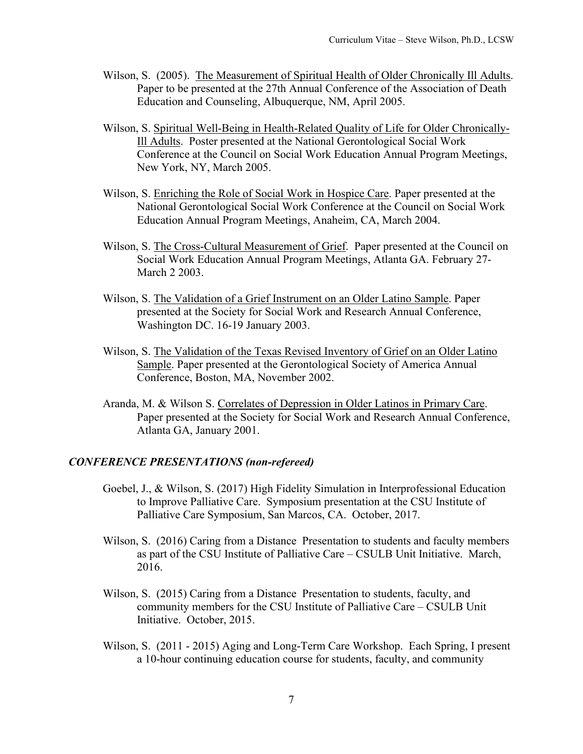- Wilson, S. (2005). The Measurement of Spiritual Health of Older Chronically Ill Adults. Paper to be presented at the 27th Annual Conference of the Association of Death Education and Counseling, Albuquerque, NM, April 2005.
- Wilson, S. Spiritual Well-Being in Health-Related Quality of Life for Older Chronically-Ill Adults. Poster presented at the National Gerontological Social Work Conference at the Council on Social Work Education Annual Program Meetings, New York, NY, March 2005.
- Wilson, S. Enriching the Role of Social Work in Hospice Care. Paper presented at the National Gerontological Social Work Conference at the Council on Social Work Education Annual Program Meetings, Anaheim, CA, March 2004.
- Wilson, S. The Cross-Cultural Measurement of Grief. Paper presented at the Council on Social Work Education Annual Program Meetings, Atlanta GA. February 27- March 2 2003.
- Wilson, S. The Validation of a Grief Instrument on an Older Latino Sample. Paper presented at the Society for Social Work and Research Annual Conference, Washington DC. 16-19 January 2003.
- Wilson, S. The Validation of the Texas Revised Inventory of Grief on an Older Latino Sample. Paper presented at the Gerontological Society of America Annual Conference, Boston, MA, November 2002.
- Aranda, M. & Wilson S. Correlates of Depression in Older Latinos in Primary Care. Paper presented at the Society for Social Work and Research Annual Conference, Atlanta GA, January 2001.

## *CONFERENCE PRESENTATIONS (non-refereed)*

- Goebel, J., & Wilson, S. (2017) High Fidelity Simulation in Interprofessional Education to Improve Palliative Care. Symposium presentation at the CSU Institute of Palliative Care Symposium, San Marcos, CA. October, 2017.
- Wilson, S. (2016) Caring from a Distance Presentation to students and faculty members as part of the CSU Institute of Palliative Care – CSULB Unit Initiative. March, 2016.
- Wilson, S. (2015) Caring from a Distance Presentation to students, faculty, and community members for the CSU Institute of Palliative Care – CSULB Unit Initiative. October, 2015.
- Wilson, S. (2011 2015) Aging and Long-Term Care Workshop. Each Spring, I present a 10-hour continuing education course for students, faculty, and community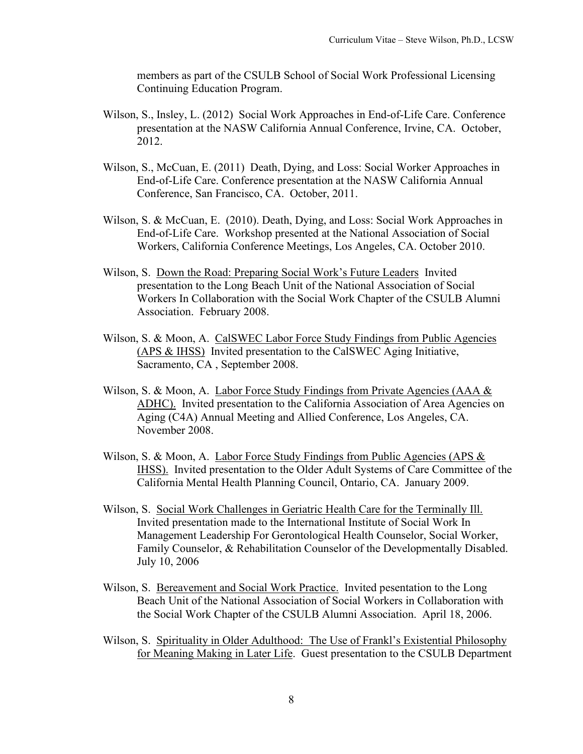members as part of the CSULB School of Social Work Professional Licensing Continuing Education Program.

- Wilson, S., Insley, L. (2012) Social Work Approaches in End-of-Life Care. Conference presentation at the NASW California Annual Conference, Irvine, CA. October, 2012.
- Wilson, S., McCuan, E. (2011) Death, Dying, and Loss: Social Worker Approaches in End-of-Life Care. Conference presentation at the NASW California Annual Conference, San Francisco, CA. October, 2011.
- Wilson, S. & McCuan, E. (2010). Death, Dying, and Loss: Social Work Approaches in End-of-Life Care. Workshop presented at the National Association of Social Workers, California Conference Meetings, Los Angeles, CA. October 2010.
- Wilson, S. Down the Road: Preparing Social Work's Future Leaders Invited presentation to the Long Beach Unit of the National Association of Social Workers In Collaboration with the Social Work Chapter of the CSULB Alumni Association. February 2008.
- Wilson, S. & Moon, A. CalSWEC Labor Force Study Findings from Public Agencies (APS & IHSS) Invited presentation to the CalSWEC Aging Initiative, Sacramento, CA , September 2008.
- Wilson, S. & Moon, A. Labor Force Study Findings from Private Agencies (AAA & ADHC). Invited presentation to the California Association of Area Agencies on Aging (C4A) Annual Meeting and Allied Conference, Los Angeles, CA. November 2008.
- Wilson, S. & Moon, A. Labor Force Study Findings from Public Agencies (APS & IHSS). Invited presentation to the Older Adult Systems of Care Committee of the California Mental Health Planning Council, Ontario, CA. January 2009.
- Wilson, S. Social Work Challenges in Geriatric Health Care for the Terminally Ill. Invited presentation made to the International Institute of Social Work In Management Leadership For Gerontological Health Counselor, Social Worker, Family Counselor, & Rehabilitation Counselor of the Developmentally Disabled. July 10, 2006
- Wilson, S. Bereavement and Social Work Practice. Invited pesentation to the Long Beach Unit of the National Association of Social Workers in Collaboration with the Social Work Chapter of the CSULB Alumni Association. April 18, 2006.
- Wilson, S. Spirituality in Older Adulthood: The Use of Frankl's Existential Philosophy for Meaning Making in Later Life. Guest presentation to the CSULB Department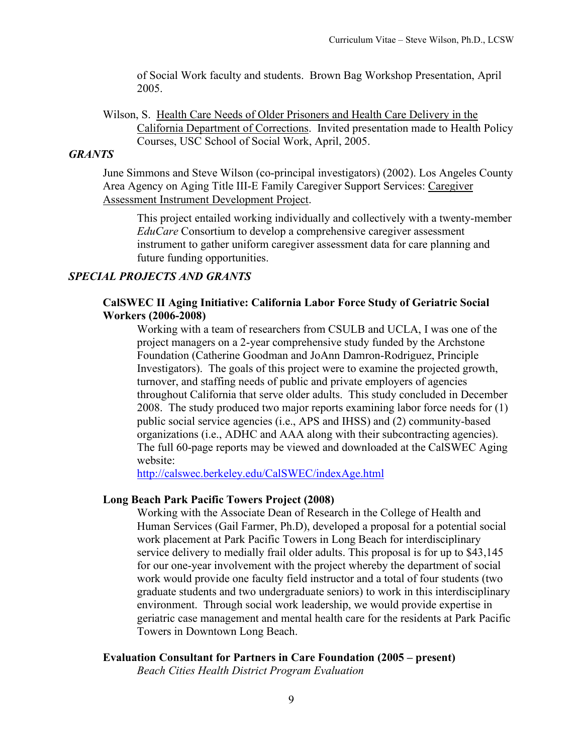of Social Work faculty and students. Brown Bag Workshop Presentation, April 2005.

Wilson, S. Health Care Needs of Older Prisoners and Health Care Delivery in the California Department of Corrections. Invited presentation made to Health Policy Courses, USC School of Social Work, April, 2005.

#### *GRANTS*

June Simmons and Steve Wilson (co-principal investigators) (2002). Los Angeles County Area Agency on Aging Title III-E Family Caregiver Support Services: Caregiver Assessment Instrument Development Project.

This project entailed working individually and collectively with a twenty-member *EduCare* Consortium to develop a comprehensive caregiver assessment instrument to gather uniform caregiver assessment data for care planning and future funding opportunities.

## *SPECIAL PROJECTS AND GRANTS*

## **CalSWEC II Aging Initiative: California Labor Force Study of Geriatric Social Workers (2006-2008)**

Working with a team of researchers from CSULB and UCLA, I was one of the project managers on a 2-year comprehensive study funded by the Archstone Foundation (Catherine Goodman and JoAnn Damron-Rodriguez, Principle Investigators). The goals of this project were to examine the projected growth, turnover, and staffing needs of public and private employers of agencies throughout California that serve older adults. This study concluded in December 2008. The study produced two major reports examining labor force needs for (1) public social service agencies (i.e., APS and IHSS) and (2) community-based organizations (i.e., ADHC and AAA along with their subcontracting agencies). The full 60-page reports may be viewed and downloaded at the CalSWEC Aging website:

<http://calswec.berkeley.edu/CalSWEC/indexAge.html>

#### **Long Beach Park Pacific Towers Project (2008)**

Working with the Associate Dean of Research in the College of Health and Human Services (Gail Farmer, Ph.D), developed a proposal for a potential social work placement at Park Pacific Towers in Long Beach for interdisciplinary service delivery to medially frail older adults. This proposal is for up to \$43,145 for our one-year involvement with the project whereby the department of social work would provide one faculty field instructor and a total of four students (two graduate students and two undergraduate seniors) to work in this interdisciplinary environment. Through social work leadership, we would provide expertise in geriatric case management and mental health care for the residents at Park Pacific Towers in Downtown Long Beach.

## **Evaluation Consultant for Partners in Care Foundation (2005 – present)**

*Beach Cities Health District Program Evaluation*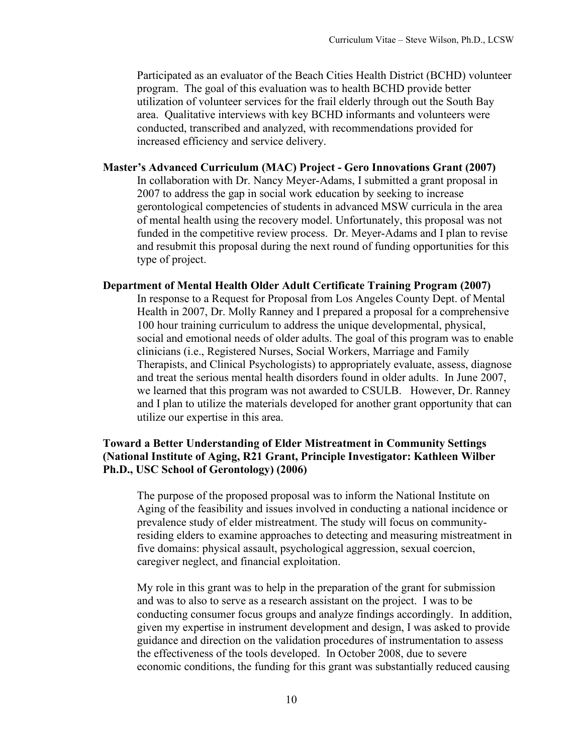Participated as an evaluator of the Beach Cities Health District (BCHD) volunteer program. The goal of this evaluation was to health BCHD provide better utilization of volunteer services for the frail elderly through out the South Bay area. Qualitative interviews with key BCHD informants and volunteers were conducted, transcribed and analyzed, with recommendations provided for increased efficiency and service delivery.

## **Master's Advanced Curriculum (MAC) Project - Gero Innovations Grant (2007)**

In collaboration with Dr. Nancy Meyer-Adams, I submitted a grant proposal in 2007 to address the gap in social work education by seeking to increase gerontological competencies of students in advanced MSW curricula in the area of mental health using the recovery model. Unfortunately, this proposal was not funded in the competitive review process. Dr. Meyer-Adams and I plan to revise and resubmit this proposal during the next round of funding opportunities for this type of project.

### **Department of Mental Health Older Adult Certificate Training Program (2007)**

In response to a Request for Proposal from Los Angeles County Dept. of Mental Health in 2007, Dr. Molly Ranney and I prepared a proposal for a comprehensive 100 hour training curriculum to address the unique developmental, physical, social and emotional needs of older adults. The goal of this program was to enable clinicians (i.e., Registered Nurses, Social Workers, Marriage and Family Therapists, and Clinical Psychologists) to appropriately evaluate, assess, diagnose and treat the serious mental health disorders found in older adults. In June 2007, we learned that this program was not awarded to CSULB. However, Dr. Ranney and I plan to utilize the materials developed for another grant opportunity that can utilize our expertise in this area.

## **Toward a Better Understanding of Elder Mistreatment in Community Settings (National Institute of Aging, R21 Grant, Principle Investigator: Kathleen Wilber Ph.D., USC School of Gerontology) (2006)**

The purpose of the proposed proposal was to inform the National Institute on Aging of the feasibility and issues involved in conducting a national incidence or prevalence study of elder mistreatment. The study will focus on communityresiding elders to examine approaches to detecting and measuring mistreatment in five domains: physical assault, psychological aggression, sexual coercion, caregiver neglect, and financial exploitation.

My role in this grant was to help in the preparation of the grant for submission and was to also to serve as a research assistant on the project. I was to be conducting consumer focus groups and analyze findings accordingly. In addition, given my expertise in instrument development and design, I was asked to provide guidance and direction on the validation procedures of instrumentation to assess the effectiveness of the tools developed. In October 2008, due to severe economic conditions, the funding for this grant was substantially reduced causing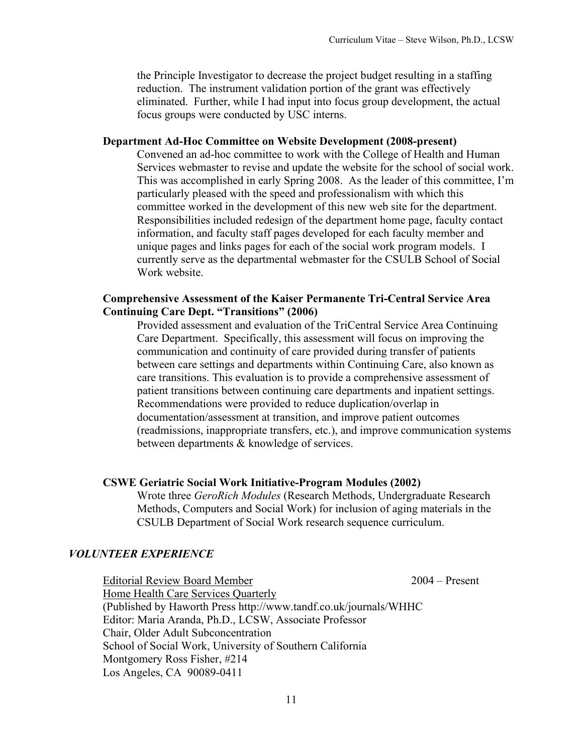the Principle Investigator to decrease the project budget resulting in a staffing reduction. The instrument validation portion of the grant was effectively eliminated. Further, while I had input into focus group development, the actual focus groups were conducted by USC interns.

### **Department Ad-Hoc Committee on Website Development (2008-present)**

Convened an ad-hoc committee to work with the College of Health and Human Services webmaster to revise and update the website for the school of social work. This was accomplished in early Spring 2008. As the leader of this committee, I'm particularly pleased with the speed and professionalism with which this committee worked in the development of this new web site for the department. Responsibilities included redesign of the department home page, faculty contact information, and faculty staff pages developed for each faculty member and unique pages and links pages for each of the social work program models. I currently serve as the departmental webmaster for the CSULB School of Social Work website.

## **Comprehensive Assessment of the Kaiser Permanente Tri-Central Service Area Continuing Care Dept. "Transitions" (2006)**

Provided assessment and evaluation of the TriCentral Service Area Continuing Care Department. Specifically, this assessment will focus on improving the communication and continuity of care provided during transfer of patients between care settings and departments within Continuing Care, also known as care transitions. This evaluation is to provide a comprehensive assessment of patient transitions between continuing care departments and inpatient settings. Recommendations were provided to reduce duplication/overlap in documentation/assessment at transition, and improve patient outcomes (readmissions, inappropriate transfers, etc.), and improve communication systems between departments & knowledge of services.

#### **CSWE Geriatric Social Work Initiative-Program Modules (2002)**

Wrote three *GeroRich Modules* (Research Methods, Undergraduate Research Methods, Computers and Social Work) for inclusion of aging materials in the CSULB Department of Social Work research sequence curriculum.

#### *VOLUNTEER EXPERIENCE*

Editorial Review Board Member 2004 – Present Home Health Care Services Quarterly (Published by Haworth Press http://www.tandf.co.uk/journals/WHHC Editor: Maria Aranda, Ph.D., LCSW, Associate Professor Chair, Older Adult Subconcentration School of Social Work, University of Southern California Montgomery Ross Fisher, #214 Los Angeles, CA 90089-0411